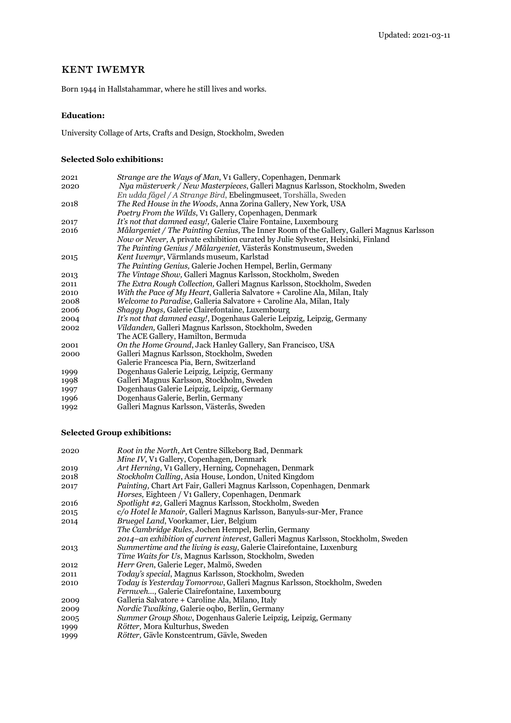# kent iwemyr

Born 1944 in Hallstahammar, where he still lives and works.

### **Education:**

University Collage of Arts, Crafts and Design, Stockholm, Sweden

### **Selected Solo exhibitions:**

| 2021 | Strange are the Ways of Man, V1 Gallery, Copenhagen, Denmark                                     |
|------|--------------------------------------------------------------------------------------------------|
| 2020 | Nya mästerverk / New Masterpieces, Galleri Magnus Karlsson, Stockholm, Sweden                    |
|      | En udda fågel / A Strange Bird, Ebelingmuseet, Torshälla, Sweden                                 |
| 2018 | The Red House in the Woods, Anna Zorina Gallery, New York, USA                                   |
|      | Poetry From the Wilds, V1 Gallery, Copenhagen, Denmark                                           |
| 2017 | It's not that damned easy!, Galerie Claire Fontaine, Luxembourg                                  |
| 2016 | <i>Målargeniet / The Painting Genius, The Inner Room of the Gallery, Galleri Magnus Karlsson</i> |
|      | Now or Never, A private exhibition curated by Julie Sylvester, Helsinki, Finland                 |
|      | The Painting Genius / Målargeniet, Västerås Konstmuseum, Sweden                                  |
| 2015 | Kent Iwemyr, Värmlands museum, Karlstad                                                          |
|      | The Painting Genius, Galerie Jochen Hempel, Berlin, Germany                                      |
| 2013 | <i>The Vintage Show, Galleri Magnus Karlsson, Stockholm, Sweden</i>                              |
| 2011 | <i>The Extra Rough Collection, Galleri Magnus Karlsson, Stockholm, Sweden</i>                    |
| 2010 | With the Pace of My Heart, Galleria Salvatore + Caroline Ala, Milan, Italy                       |
| 2008 | Welcome to Paradise, Galleria Salvatore + Caroline Ala, Milan, Italy                             |
| 2006 | <i>Shaggy Dogs, Galerie Clairefontaine, Luxembourg</i>                                           |
| 2004 | It's not that damned easy!, Dogenhaus Galerie Leipzig, Leipzig, Germany                          |
| 2002 | <i>Vildanden, Galleri Magnus Karlsson, Stockholm, Sweden</i>                                     |
|      | The ACE Gallery, Hamilton, Bermuda                                                               |
| 2001 | On the Home Ground, Jack Hanley Gallery, San Francisco, USA                                      |
| 2000 | Galleri Magnus Karlsson, Stockholm, Sweden                                                       |
|      | Galerie Francesca Pia, Bern, Switzerland                                                         |
| 1999 | Dogenhaus Galerie Leipzig, Leipzig, Germany                                                      |
| 1998 | Galleri Magnus Karlsson, Stockholm, Sweden                                                       |
| 1997 | Dogenhaus Galerie Leipzig, Leipzig, Germany                                                      |
| 1996 | Dogenhaus Galerie, Berlin, Germany                                                               |
| 1992 | Galleri Magnus Karlsson, Västerås, Sweden                                                        |
|      |                                                                                                  |

## **Selected Group exhibitions:**

| 2020 | Root in the North, Art Centre Silkeborg Bad, Denmark                               |
|------|------------------------------------------------------------------------------------|
|      | Mine IV, V1 Gallery, Copenhagen, Denmark                                           |
| 2019 | Art Herning, V1 Gallery, Herning, Copnehagen, Denmark                              |
| 2018 | Stockholm Calling, Asia House, London, United Kingdom                              |
| 2017 | Painting, Chart Art Fair, Galleri Magnus Karlsson, Copenhagen, Denmark             |
|      | <i>Horses, Eighteen / Vi Gallery, Copenhagen, Denmark</i>                          |
| 2016 | Spotlight #2, Galleri Magnus Karlsson, Stockholm, Sweden                           |
| 2015 | c/o Hotel le Manoir, Galleri Magnus Karlsson, Banyuls-sur-Mer, France              |
| 2014 | Bruegel Land, Voorkamer, Lier, Belgium                                             |
|      | <i>The Cambridge Rules, Jochen Hempel, Berlin, Germany</i>                         |
|      | 2014–an exhibition of current interest, Galleri Magnus Karlsson, Stockholm, Sweden |
| 2013 | Summertime and the living is easy, Galerie Clairefontaine, Luxenburg               |
|      | <i>Time Waits for Us, Magnus Karlsson, Stockholm, Sweden</i>                       |
| 2012 | Herr Gren, Galerie Leger, Malmö, Sweden                                            |
| 2011 | <i>Today's special, Magnus Karlsson, Stockholm, Sweden</i>                         |
| 2010 | <i>Today is Yesterday Tomorrow, Galleri Magnus Karlsson, Stockholm, Sweden</i>     |
|      | <i>Fernweh, Galerie Clairefontaine, Luxembourg</i>                                 |
| 2009 | Galleria Salvatore + Caroline Ala, Milano, Italy                                   |
| 2009 | <i>Nordic Twalking, Galerie ogbo, Berlin, Germany</i>                              |
| 2005 | Summer Group Show, Dogenhaus Galerie Leipzig, Leipzig, Germany                     |
| 1999 | <i>Rötter</i> , Mora Kulturhus, Sweden                                             |
| 1999 | <i>Rötter</i> , Gävle Konstcentrum, Gävle, Sweden                                  |